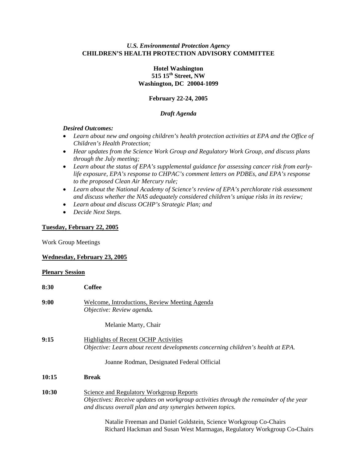# *U.S. Environmental Protection Agency* **CHILDREN'S HEALTH PROTECTION ADVISORY COMMITTEE**

## **Hotel Washington 515 15th Street, NW Washington, DC 20004-1099**

## **February 22-24, 2005**

# *Draft Agenda*

# *Desired Outcomes:*

- *Learn about new and ongoing children's health protection activities at EPA and the Office of Children's Health Protection;*
- *Hear updates from the Science Work Group and Regulatory Work Group, and discuss plans through the July meeting;*
- *Learn about the status of EPA's supplemental guidance for assessing cancer risk from earlylife exposure, EPA's response to CHPAC's comment letters on PDBEs, and EPA's response to the proposed Clean Air Mercury rule;*
- *Learn about the National Academy of Science's review of EPA's perchlorate risk assessment and discuss whether the NAS adequately considered children's unique risks in its review;*
- *Learn about and discuss OCHP's Strategic Plan; and*
- *Decide Next Steps.*

## **Tuesday, February 22, 2005**

Work Group Meetings

## **Wednesday, February 23, 2005**

#### **Plenary Session**

| 8:30  | <b>Coffee</b>                                                                                                                                                                                   |
|-------|-------------------------------------------------------------------------------------------------------------------------------------------------------------------------------------------------|
| 9:00  | Welcome, Introductions, Review Meeting Agenda<br>Objective: Review agenda.                                                                                                                      |
|       | Melanie Marty, Chair                                                                                                                                                                            |
| 9:15  | <b>Highlights of Recent OCHP Activities</b><br>Objective: Learn about recent developments concerning children's health at EPA.                                                                  |
|       | Joanne Rodman, Designated Federal Official                                                                                                                                                      |
| 10:15 | <b>Break</b>                                                                                                                                                                                    |
| 10:30 | Science and Regulatory Workgroup Reports<br>Objectives: Receive updates on workgroup activities through the remainder of the year<br>and discuss overall plan and any synergies between topics. |
|       | Natalie Freeman and Daniel Goldstein, Science Workgroup Co-Chairs<br>Richard Hackman and Susan West Marmagas, Regulatory Workgroup Co-Chairs                                                    |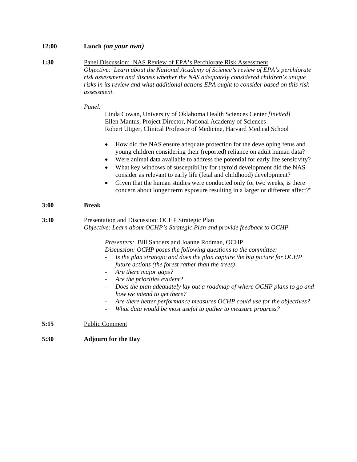| 12:00 | Lunch (on your own)                                                                                                                                                                                                                                                                                                                                                                                                                                                                                                                                                                                                 |
|-------|---------------------------------------------------------------------------------------------------------------------------------------------------------------------------------------------------------------------------------------------------------------------------------------------------------------------------------------------------------------------------------------------------------------------------------------------------------------------------------------------------------------------------------------------------------------------------------------------------------------------|
| 1:30  | <u>Panel Discussion: NAS Review of EPA's Perchlorate Risk Assessment</u><br>Objective: Learn about the National Academy of Science's review of EPA's perchlorate<br>risk assessment and discuss whether the NAS adequately considered children's unique<br>risks in its review and what additional actions EPA ought to consider based on this risk<br>assessment.                                                                                                                                                                                                                                                  |
|       | Panel:<br>Linda Cowan, University of Oklahoma Health Sciences Center [invited]<br>Ellen Mantus, Project Director, National Academy of Sciences<br>Robert Utiger, Clinical Professor of Medicine, Harvard Medical School                                                                                                                                                                                                                                                                                                                                                                                             |
|       | How did the NAS ensure adequate protection for the developing fetus and<br>$\bullet$<br>young children considering their (reported) reliance on adult human data?<br>Were animal data available to address the potential for early life sensitivity?<br>٠<br>What key windows of susceptibility for thyroid development did the NAS<br>$\bullet$<br>consider as relevant to early life (fetal and childhood) development?<br>Given that the human studies were conducted only for two weeks, is there<br>٠<br>concern about longer term exposure resulting in a larger or different affect?"                        |
| 3:00  | <b>Break</b>                                                                                                                                                                                                                                                                                                                                                                                                                                                                                                                                                                                                        |
| 3:30  | Presentation and Discussion: OCHP Strategic Plan<br>Objective: Learn about OCHP's Strategic Plan and provide feedback to OCHP.                                                                                                                                                                                                                                                                                                                                                                                                                                                                                      |
|       | Presenters: Bill Sanders and Joanne Rodman, OCHP<br>Discussion: OCHP poses the following questions to the committee:<br>Is the plan strategic and does the plan capture the big picture for OCHP<br>future actions (the forest rather than the trees)<br>Are there major gaps?<br>$\blacksquare$<br>Are the priorities evident?<br>$\overline{\phantom{a}}$<br>Does the plan adequately lay out a roadmap of where OCHP plans to go and<br>how we intend to get there?<br>Are there better performance measures OCHP could use for the objectives?<br>What data would be most useful to gather to measure progress? |
| 5:15  | <b>Public Comment</b>                                                                                                                                                                                                                                                                                                                                                                                                                                                                                                                                                                                               |
| 5:30  | <b>Adjourn for the Day</b>                                                                                                                                                                                                                                                                                                                                                                                                                                                                                                                                                                                          |